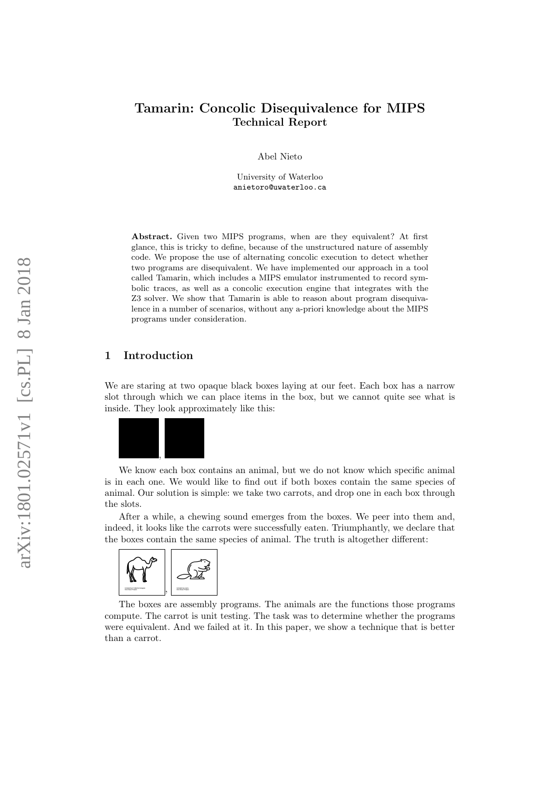# Tamarin: Concolic Disequivalence for MIPS Technical Report

Abel Nieto

University of Waterloo anietoro@uwaterloo.ca

Abstract. Given two MIPS programs, when are they equivalent? At first glance, this is tricky to define, because of the unstructured nature of assembly code. We propose the use of alternating concolic execution to detect whether two programs are disequivalent. We have implemented our approach in a tool called Tamarin, which includes a MIPS emulator instrumented to record symbolic traces, as well as a concolic execution engine that integrates with the Z3 solver. We show that Tamarin is able to reason about program disequivalence in a number of scenarios, without any a-priori knowledge about the MIPS programs under consideration.

### 1 Introduction

We are staring at two opaque black boxes laying at our feet. Each box has a narrow slot through which we can place items in the box, but we cannot quite see what is inside. They look approximately like this:



We know each box contains an animal, but we do not know which specific animal is in each one. We would like to find out if both boxes contain the same species of animal. Our solution is simple: we take two carrots, and drop one in each box through the slots.

After a while, a chewing sound emerges from the boxes. We peer into them and, indeed, it looks like the carrots were successfully eaten. Triumphantly, we declare that the boxes contain the same species of animal. The truth is altogether different:



The boxes are assembly programs. The animals are the functions those programs compute. The carrot is unit testing. The task was to determine whether the programs were equivalent. And we failed at it. In this paper, we show a technique that is better than a carrot.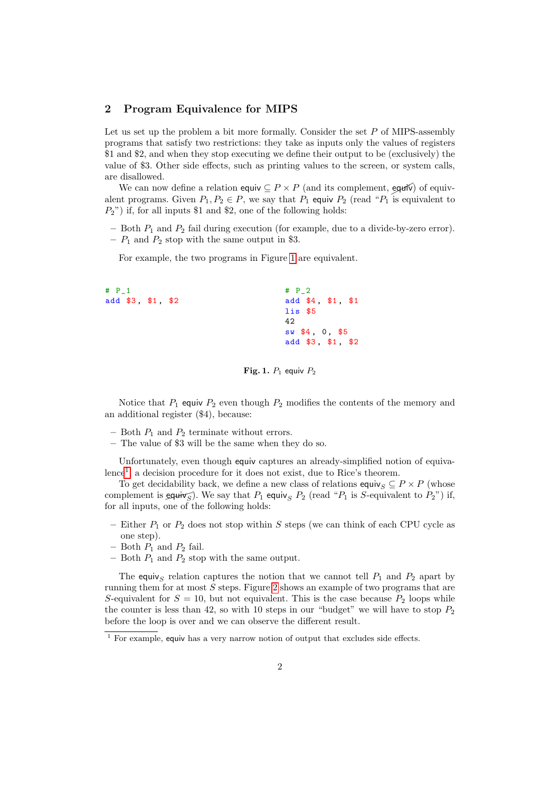## <span id="page-1-2"></span>2 Program Equivalence for MIPS

Let us set up the problem a bit more formally. Consider the set  $P$  of MIPS-assembly programs that satisfy two restrictions: they take as inputs only the values of registers \$1 and \$2, and when they stop executing we define their output to be (exclusively) the value of \$3. Other side effects, such as printing values to the screen, or system calls, are disallowed.

We can now define a relation equiv  $\subseteq P \times P$  (and its complement, equivalent programs. Given  $P_1, P_2 \in P$ , we say that  $P_1$  equiv  $P_2$  (read " $P_1$  is equivalent to  $P_2$ ") if, for all inputs \$1 and \$2, one of the following holds:

– Both  $P_1$  and  $P_2$  fail during execution (for example, due to a divide-by-zero error).

–  $P_1$  and  $P_2$  stop with the same output in \$3.

For example, the two programs in Figure [1](#page-1-0) are equivalent.

```
# P_1
add $3 , $1 , $2
                                      # P_2
                                      add $4, $1, $1
                                      lis $5
                                      42
                                      sw $4 , 0 , $5
                                      add $3, $1, $2
```
<span id="page-1-0"></span>Fig. 1.  $P_1$  equiv  $P_2$ 

Notice that  $P_1$  equiv  $P_2$  even though  $P_2$  modifies the contents of the memory and an additional register (\$4), because:

- Both  $P_1$  and  $P_2$  terminate without errors.
- The value of \$3 will be the same when they do so.

Unfortunately, even though equiv captures an already-simplified notion of equiva-lence<sup>[1](#page-1-1)</sup>, a decision procedure for it does not exist, due to Rice's theorem.

To get decidability back, we define a new class of relations equiv<sub>S</sub>  $\subseteq$  P  $\times$  P (whose complement is equiv $\overline{\varsigma}$ ). We say that  $P_1$  equiv<sub>S</sub>  $P_2$  (read " $P_1$  is S-equivalent to  $P_2$ ") if, for all inputs, one of the following holds:

- Either  $P_1$  or  $P_2$  does not stop within S steps (we can think of each CPU cycle as one step).
- Both  $P_1$  and  $P_2$  fail.
- Both  $P_1$  and  $P_2$  stop with the same output.

The equiv<sub>S</sub> relation captures the notion that we cannot tell  $P_1$  and  $P_2$  apart by running them for at most S steps. Figure [2](#page-2-0) shows an example of two programs that are S-equivalent for  $S = 10$ , but not equivalent. This is the case because  $P_2$  loops while the counter is less than 42, so with 10 steps in our "budget" we will have to stop  $P_2$ before the loop is over and we can observe the different result.

<span id="page-1-1"></span> $\frac{1}{1}$  For example, equiv has a very narrow notion of output that excludes side effects.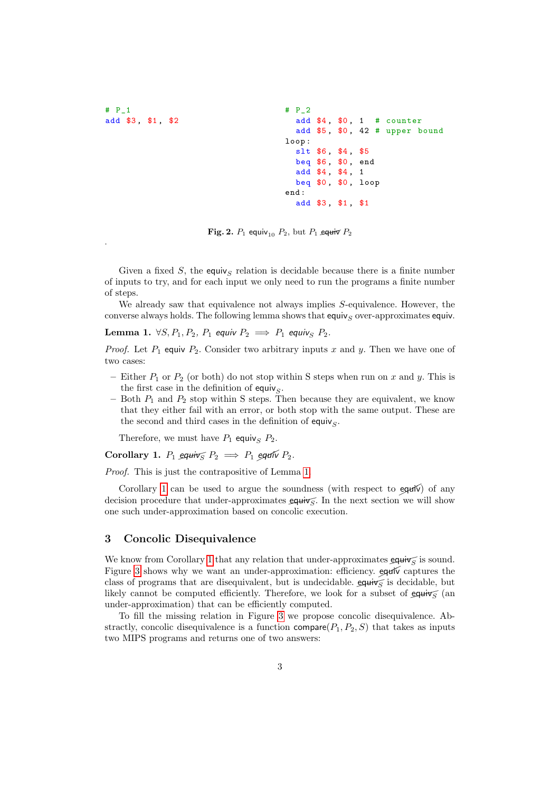$#$   $P_1$ add \$3 , \$1 , \$2

.

 $#$   $P_2$ add \$4, \$0, 1 # counter add \$5, \$0, 42 # upper bound loop : slt \$6, \$4, \$5 beg \$6, \$0, end add \$4, \$4, 1 beq \$0, \$0, loop end : add \$3, \$1, \$1

<span id="page-2-0"></span>Fig. 2.  $P_1$  equiv<sub>10</sub>  $P_2$ , but  $P_1$  equiv  $P_2$ 

Given a fixed S, the equivs relation is decidable because there is a finite number of inputs to try, and for each input we only need to run the programs a finite number of steps.

We already saw that equivalence not always implies S-equivalence. However, the converse always holds. The following lemma shows that  $\epsilon q$ uiv<sub>S</sub> over-approximates  $\epsilon q$ uiv.

<span id="page-2-1"></span>Lemma 1.  $\forall S, P_1, P_2, P_1$  equiv  $P_2 \implies P_1$  equiv<sub>S</sub>  $P_2$ .

*Proof.* Let  $P_1$  equiv  $P_2$ . Consider two arbitrary inputs x and y. Then we have one of two cases:

- Either  $P_1$  or  $P_2$  (or both) do not stop within S steps when run on x and y. This is the first case in the definition of equiv $<sub>S</sub>$ .</sub>
- Both  $P_1$  and  $P_2$  stop within S steps. Then because they are equivalent, we know that they either fail with an error, or both stop with the same output. These are the second and third cases in the definition of equiv $<sub>S</sub>$ .</sub>

Therefore, we must have  $P_1$  equiv<sub>s</sub>  $P_2$ .

<span id="page-2-2"></span>Corollary 1.  $P_1$  equiv $\sqrt{S} P_2 \implies P_1$  equiv  $P_2$ .

Proof. This is just the contrapositive of Lemma [1.](#page-2-1)

Corollary [1](#page-2-2) can be used to argue the soundness (with respect to  $\epsilon$ <sub>qu</sub>iv) of any decision procedure that under-approximates  $\epsilon q \mu \nu s$ . In the next section we will show one such under-approximation based on concolic execution.

### <span id="page-2-3"></span>3 Concolic Disequivalence

We know from Corollary [1](#page-2-2) that any relation that under-approximates  $\epsilon q \overrightarrow{u}$  is sound. Figure [3](#page-2-3) shows why we want an under-approximation: efficiency.  $\epsilon q$ uiv captures the class of programs that are disequivalent, but is undecidable.  $\epsilon q \mu \dot{\gamma}$  is decidable, but likely cannot be computed efficiently. Therefore, we look for a subset of equiv $\sqrt{\epsilon}$  (an under-approximation) that can be efficiently computed.

To fill the missing relation in Figure [3](#page-2-3) we propose concolic disequivalence. Abstractly, concolic disequivalence is a function compare( $P_1, P_2, S$ ) that takes as inputs two MIPS programs and returns one of two answers: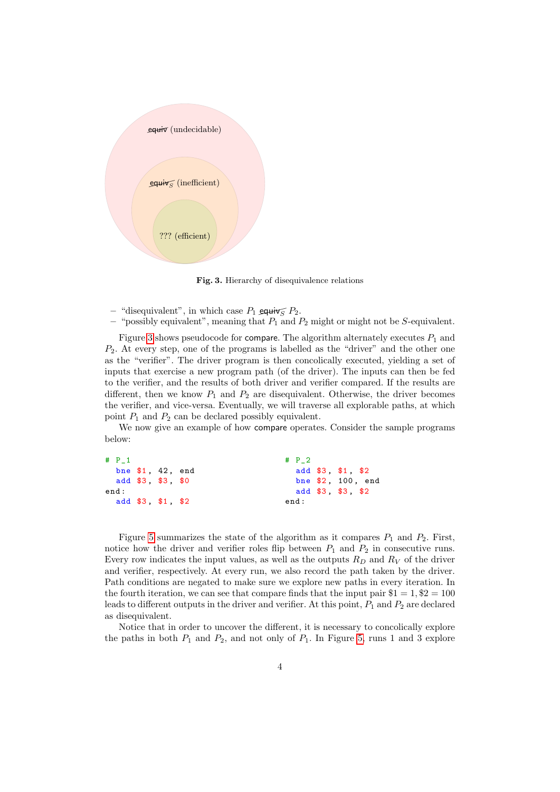

<span id="page-3-0"></span>Fig. 3. Hierarchy of disequivalence relations

- "disequivalent", in which case  $P_1$  equiv  $\sqrt{P_2}$ .
- "possibly equivalent", meaning that  $P_1$  and  $P_2$  might or might not be S-equivalent.

Figure [3](#page-3-0) shows pseudocode for compare. The algorithm alternately executes  $P_1$  and  $P_2$ . At every step, one of the programs is labelled as the "driver" and the other one as the "verifier". The driver program is then concolically executed, yielding a set of inputs that exercise a new program path (of the driver). The inputs can then be fed to the verifier, and the results of both driver and verifier compared. If the results are different, then we know  $P_1$  and  $P_2$  are disequivalent. Otherwise, the driver becomes the verifier, and vice-versa. Eventually, we will traverse all explorable paths, at which point  $P_1$  and  $P_2$  can be declared possibly equivalent.

We now give an example of how compare operates. Consider the sample programs below:

```
# P_1
  bne $1 , 42 , end
  add $3 , $3 , $0
end :
  add $3 , $1 , $2
                                        # P_2
                                          add $3, $1, $2
                                          bne $2 , 100 , end
                                          add $3 , $3 , $2
                                        end :
```
Figure [5](#page-5-0) summarizes the state of the algorithm as it compares  $P_1$  and  $P_2$ . First, notice how the driver and verifier roles flip between  $P_1$  and  $P_2$  in consecutive runs. Every row indicates the input values, as well as the outputs  $R_D$  and  $R_V$  of the driver and verifier, respectively. At every run, we also record the path taken by the driver. Path conditions are negated to make sure we explore new paths in every iteration. In the fourth iteration, we can see that compare finds that the input pair  $$1 = 1, $2 = 100$ leads to different outputs in the driver and verifier. At this point,  $P_1$  and  $P_2$  are declared as disequivalent.

Notice that in order to uncover the different, it is necessary to concolically explore the paths in both  $P_1$  and  $P_2$ , and not only of  $P_1$ . In Figure [5,](#page-5-0) runs 1 and 3 explore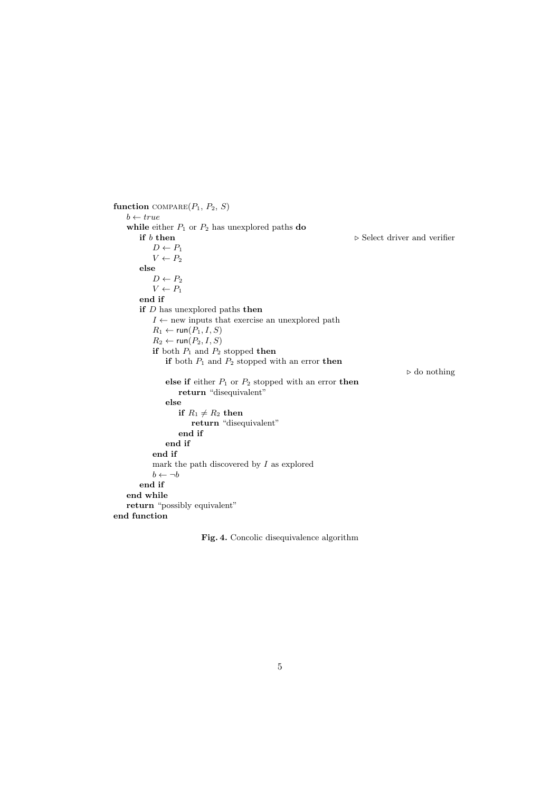```
function COMPARE(P_1, P_2, S)b \leftarrow truewhile either P_1 or P_2 has unexplored paths do
       if b then \triangleright Select driver and verifier
           D \leftarrow P_1V \leftarrow P_2else
           D \leftarrow P_2V \leftarrow P_1end if
       if D has unexplored paths then
           I \leftarrow new inputs that exercise an unexplored path
           R_1 \leftarrow \text{run}(P_1, I, S)R_2 \leftarrow \text{run}(P_2, I, S)if both P_1 and P_2 stopped then
              if both P_1 and P_2 stopped with an error then
                                                                                    \triangleright do nothing
              else if either P_1 or P_2 stopped with an error then
                  return "disequivalent"
              else
                  if R_1 \neq R_2 then
                      return "disequivalent"
                  end if
              end if
           end if
           mark the path discovered by I as explored
           b \leftarrow \neg bend if
   end while
   return "possibly equivalent"
end function
```
Fig. 4. Concolic disequivalence algorithm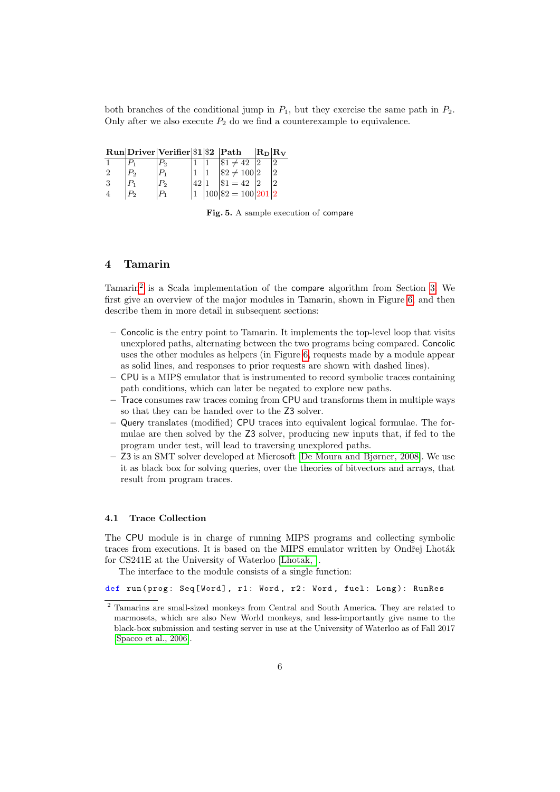both branches of the conditional jump in  $P_1$ , but they exercise the same path in  $P_2$ . Only after we also execute  $P_2$  do we find a counterexample to equivalence.

|  | $Run Direct Verifier \$1 \$2  Path$ |  |                                                              | $ R_D R_V$ |   |
|--|-------------------------------------|--|--------------------------------------------------------------|------------|---|
|  |                                     |  | $\$1 \neq 42$                                                |            |   |
|  |                                     |  | $\begin{vmatrix} $2 \neq 100 \ 31 = 42 \end{vmatrix}$<br>$2$ |            | റ |
|  |                                     |  |                                                              |            |   |
|  |                                     |  | $100 \$2=100 201 2$                                          |            |   |

<span id="page-5-0"></span>Fig. 5. A sample execution of compare

## 4 Tamarin

Tamarin[2](#page-5-1) is a Scala implementation of the compare algorithm from Section [3.](#page-2-3) We first give an overview of the major modules in Tamarin, shown in Figure [6,](#page-6-0) and then describe them in more detail in subsequent sections:

- Concolic is the entry point to Tamarin. It implements the top-level loop that visits unexplored paths, alternating between the two programs being compared. Concolic uses the other modules as helpers (in Figure [6,](#page-6-0) requests made by a module appear as solid lines, and responses to prior requests are shown with dashed lines).
- CPU is a MIPS emulator that is instrumented to record symbolic traces containing path conditions, which can later be negated to explore new paths.
- Trace consumes raw traces coming from CPU and transforms them in multiple ways so that they can be handed over to the Z3 solver.
- Query translates (modified) CPU traces into equivalent logical formulae. The formulae are then solved by the Z3 solver, producing new inputs that, if fed to the program under test, will lead to traversing unexplored paths.
- Z3 is an SMT solver developed at Microsoft [\[De Moura and Bjørner, 2008\]](#page-15-0). We use it as black box for solving queries, over the theories of bitvectors and arrays, that result from program traces.

#### 4.1 Trace Collection

The CPU module is in charge of running MIPS programs and collecting symbolic traces from executions. It is based on the MIPS emulator written by Ondřej Lhoták for CS241E at the University of Waterloo [\[Lhotak, \]](#page-15-1).

The interface to the module consists of a single function:

def run (prog: Seq [Word], r1: Word, r2: Word, fuel: Long): RunRes

<span id="page-5-1"></span><sup>&</sup>lt;sup>2</sup> Tamarins are small-sized monkeys from Central and South America. They are related to marmosets, which are also New World monkeys, and less-importantly give name to the black-box submission and testing server in use at the University of Waterloo as of Fall 2017 [\[Spacco et al., 2006\]](#page-16-0).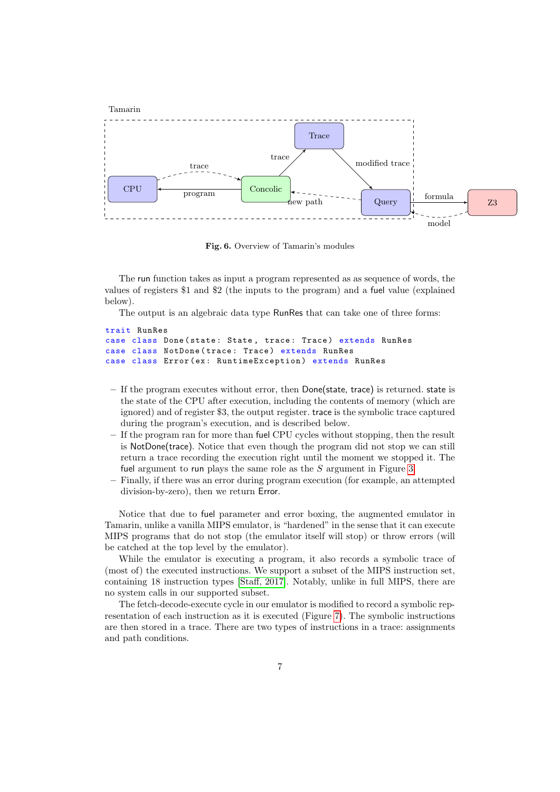

<span id="page-6-0"></span>Fig. 6. Overview of Tamarin's modules

The run function takes as input a program represented as as sequence of words, the values of registers \$1 and \$2 (the inputs to the program) and a fuel value (explained below).

The output is an algebraic data type RunRes that can take one of three forms:

```
trait RunRes
case class Done (state: State, trace: Trace) extends RunRes
case class NotDone ( trace : Trace ) extends RunRes
case class Error (ex: RuntimeException) extends RunRes
```
- If the program executes without error, then Done(state, trace) is returned. state is the state of the CPU after execution, including the contents of memory (which are ignored) and of register \$3, the output register. trace is the symbolic trace captured during the program's execution, and is described below.
- If the program ran for more than fuel CPU cycles without stopping, then the result is NotDone(trace). Notice that even though the program did not stop we can still return a trace recording the execution right until the moment we stopped it. The fuel argument to run plays the same role as the S argument in Figure [3.](#page-3-0)
- Finally, if there was an error during program execution (for example, an attempted division-by-zero), then we return Error.

Notice that due to fuel parameter and error boxing, the augmented emulator in Tamarin, unlike a vanilla MIPS emulator, is "hardened" in the sense that it can execute MIPS programs that do not stop (the emulator itself will stop) or throw errors (will be catched at the top level by the emulator).

While the emulator is executing a program, it also records a symbolic trace of (most of) the executed instructions. We support a subset of the MIPS instruction set, containing 18 instruction types [\[Staff, 2017\]](#page-16-1). Notably, unlike in full MIPS, there are no system calls in our supported subset.

The fetch-decode-execute cycle in our emulator is modified to record a symbolic representation of each instruction as it is executed (Figure [7\)](#page-7-0). The symbolic instructions are then stored in a trace. There are two types of instructions in a trace: assignments and path conditions.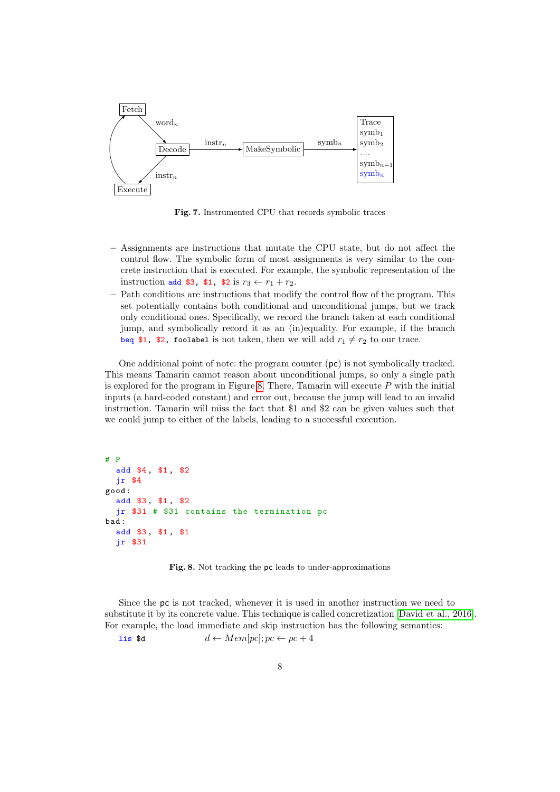

<span id="page-7-0"></span>Fig. 7. Instrumented CPU that records symbolic traces

- Assignments are instructions that mutate the CPU state, but do not affect the control flow. The symbolic form of most assignments is very similar to the concrete instruction that is executed. For example, the symbolic representation of the instruction add \$3, \$1, \$2 is  $r_3 \leftarrow r_1 + r_2$ .
- Path conditions are instructions that modify the control flow of the program. This set potentially contains both conditional and unconditional jumps, but we track only conditional ones. Specifically, we record the branch taken at each conditional jump, and symbolically record it as an (in)equality. For example, if the branch beq \$1, \$2, foolabel is not taken, then we will add  $r_1 \neq r_2$  to our trace.

One additional point of note: the program counter (pc) is not symbolically tracked. This means Tamarin cannot reason about unconditional jumps, so only a single path is explored for the program in Figure [8.](#page-7-1) There, Tamarin will execute  $P$  with the initial inputs (a hard-coded constant) and error out, because the jump will lead to an invalid instruction. Tamarin will miss the fact that \$1 and \$2 can be given values such that we could jump to either of the labels, leading to a successful execution.

```
# P
  add $4, $1, $2
  jr $4
good :
  add $3 , $1 , $2
  jr $31 # $31 contains the termination pc
bad :
  add $3 , $1 , $1
  jr $31
```
<span id="page-7-1"></span>Fig. 8. Not tracking the pc leads to under-approximations

Since the pc is not tracked, whenever it is used in another instruction we need to substitute it by its concrete value. This technique is called concretization [\[David et al., 2016\]](#page-15-2). For example, the load immediate and skip instruction has the following semantics:

lis \$d  $d \leftarrow Mem[pc]; pc \leftarrow pc + 4$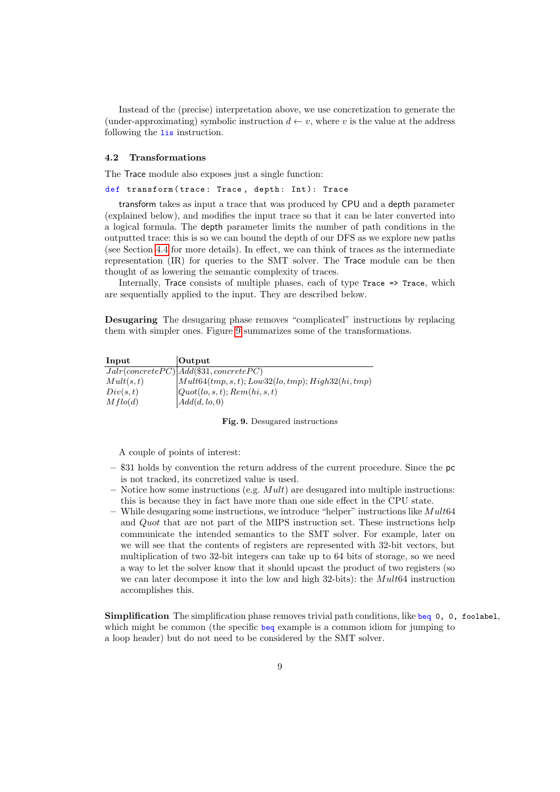Instead of the (precise) interpretation above, we use concretization to generate the (under-approximating) symbolic instruction  $d \leftarrow v$ , where v is the value at the address following the **lis** instruction.

#### 4.2 Transformations

The Trace module also exposes just a single function:

def transform (trace: Trace, depth: Int): Trace

transform takes as input a trace that was produced by CPU and a depth parameter (explained below), and modifies the input trace so that it can be later converted into a logical formula. The depth parameter limits the number of path conditions in the outputted trace: this is so we can bound the depth of our DFS as we explore new paths (see Section [4.4](#page-12-0) for more details). In effect, we can think of traces as the intermediate representation (IR) for queries to the SMT solver. The Trace module can be then thought of as lowering the semantic complexity of traces.

Internally, Trace consists of multiple phases, each of type Trace => Trace, which are sequentially applied to the input. They are described below.

Desugaring The desugaring phase removes "complicated" instructions by replacing them with simpler ones. Figure [9](#page-8-0) summarizes some of the transformations.

| Input     | Output                                                           |
|-----------|------------------------------------------------------------------|
|           | $Jalr(concrete PC) Add(\$31, concrete PC)$                       |
| Mult(s,t) | $\vert Mult64(tmp, s, t); Low32(lo, tmp); High32(hi, tmp) \vert$ |
| Div(s,t)  | [Quot(lo, s, t); Rem(hi, s, t)]                                  |
| Mflo(d)   | Add(d,lo,0)                                                      |

#### <span id="page-8-0"></span>Fig. 9. Desugared instructions

A couple of points of interest:

- \$31 holds by convention the return address of the current procedure. Since the pc is not tracked, its concretized value is used.
- Notice how some instructions (e.g.  $Mult)$ ) are desugared into multiple instructions: this is because they in fact have more than one side effect in the CPU state.
- While desugaring some instructions, we introduce "helper" instructions like  $Mult64$ and Quot that are not part of the MIPS instruction set. These instructions help communicate the intended semantics to the SMT solver. For example, later on we will see that the contents of registers are represented with 32-bit vectors, but multiplication of two 32-bit integers can take up to 64 bits of storage, so we need a way to let the solver know that it should upcast the product of two registers (so we can later decompose it into the low and high 32-bits): the Mult64 instruction accomplishes this.

Simplification The simplification phase removes trivial path conditions, like beq 0, 0, foolabel, which might be common (the specific beq example is a common idiom for jumping to a loop header) but do not need to be considered by the SMT solver.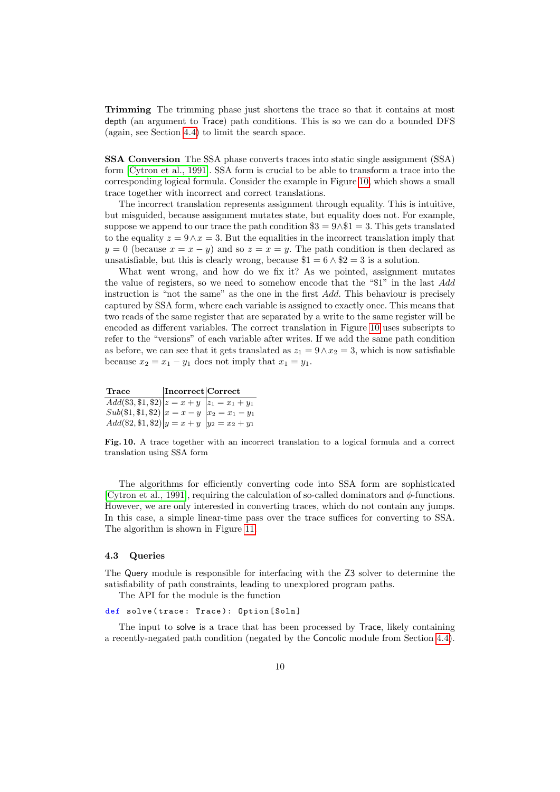Trimming The trimming phase just shortens the trace so that it contains at most depth (an argument to Trace) path conditions. This is so we can do a bounded DFS (again, see Section [4.4\)](#page-12-0) to limit the search space.

<span id="page-9-1"></span>SSA Conversion The SSA phase converts traces into static single assignment (SSA) form [\[Cytron et al., 1991\]](#page-15-3). SSA form is crucial to be able to transform a trace into the corresponding logical formula. Consider the example in Figure [10,](#page-9-0) which shows a small trace together with incorrect and correct translations.

The incorrect translation represents assignment through equality. This is intuitive, but misguided, because assignment mutates state, but equality does not. For example, suppose we append to our trace the path condition  $\$3 = 9 \land \$1 = 3$ . This gets translated to the equality  $z = 9 \wedge x = 3$ . But the equalities in the incorrect translation imply that  $y = 0$  (because  $x = x - y$ ) and so  $z = x = y$ . The path condition is then declared as unsatisfiable, but this is clearly wrong, because  $1 = 6 \land 2 = 3$  is a solution.

What went wrong, and how do we fix it? As we pointed, assignment mutates the value of registers, so we need to somehow encode that the "\$1" in the last Add instruction is "not the same" as the one in the first Add. This behaviour is precisely captured by SSA form, where each variable is assigned to exactly once. This means that two reads of the same register that are separated by a write to the same register will be encoded as different variables. The correct translation in Figure [10](#page-9-0) uses subscripts to refer to the "versions" of each variable after writes. If we add the same path condition as before, we can see that it gets translated as  $z_1 = 9 \wedge x_2 = 3$ , which is now satisfiable because  $x_2 = x_1 - y_1$  does not imply that  $x_1 = y_1$ .

Trace **Incorrect** Correct  $Add(\$3,\$1,\$2)|z=x+y|z_1=x_1+y_1$  $Sub(\$1, \$1, \$2) | x = x - y | x_2 = x_1 - y_1$  $Add(\$2, \$1, \$2)|y=x+y|y_2=x_2+y_1$ 

<span id="page-9-0"></span>Fig. 10. A trace together with an incorrect translation to a logical formula and a correct translation using SSA form

The algorithms for efficiently converting code into SSA form are sophisticated [\[Cytron et al., 1991\]](#page-15-3), requiring the calculation of so-called dominators and  $\phi$ -functions. However, we are only interested in converting traces, which do not contain any jumps. In this case, a simple linear-time pass over the trace suffices for converting to SSA. The algorithm is shown in Figure [11.](#page-10-0)

### 4.3 Queries

The Query module is responsible for interfacing with the Z3 solver to determine the satisfiability of path constraints, leading to unexplored program paths.

The API for the module is the function

#### def solve (trace: Trace): Option [Soln]

The input to solve is a trace that has been processed by Trace, likely containing a recently-negated path condition (negated by the Concolic module from Section [4.4\)](#page-12-0).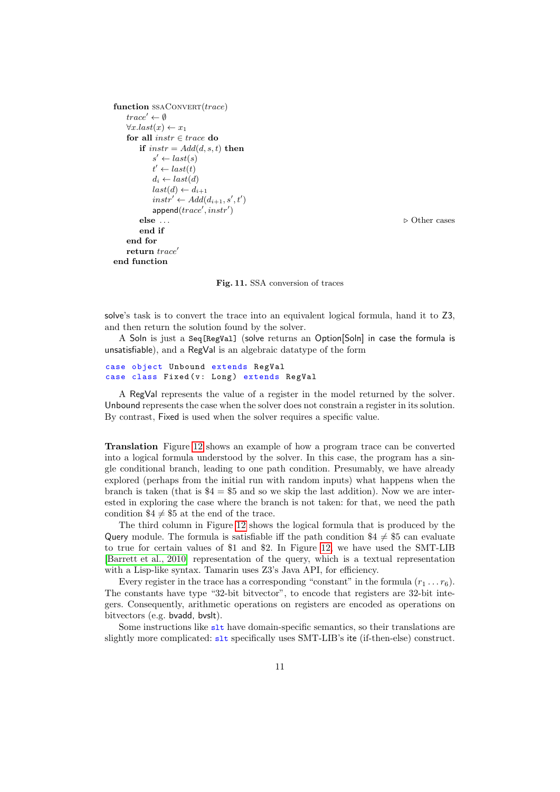```
function SSACONVERT(true)trace' \leftarrow \emptyset\forall x. last(x) \leftarrow x_1for all instr \in trace do
      if instr = Add(d, s, t) then
           s' \leftarrow last(s)t' \leftarrow last(t)d_i \leftarrow last(d)last(d) \leftarrow d_{i+1}instr' \leftarrow Add(d_{i+1}, s', t')append(trace',instr')else . . . . Other cases
       end if
   end for
   return trace'end function
```
<span id="page-10-0"></span>Fig. 11. SSA conversion of traces

solve's task is to convert the trace into an equivalent logical formula, hand it to Z3, and then return the solution found by the solver.

A Soln is just a Seq[RegVal] (solve returns an Option[Soln] in case the formula is unsatisfiable), and a RegVal is an algebraic datatype of the form

```
case object Unbound extends RegVal
case class Fixed (v: Long) extends RegVal
```
A RegVal represents the value of a register in the model returned by the solver. Unbound represents the case when the solver does not constrain a register in its solution. By contrast, Fixed is used when the solver requires a specific value.

Translation Figure [12](#page-11-0) shows an example of how a program trace can be converted into a logical formula understood by the solver. In this case, the program has a single conditional branch, leading to one path condition. Presumably, we have already explored (perhaps from the initial run with random inputs) what happens when the branch is taken (that is  $$4 = $5$  and so we skip the last addition). Now we are interested in exploring the case where the branch is not taken: for that, we need the path condition  $\$4 \neq \$5$  at the end of the trace.

The third column in Figure [12](#page-11-0) shows the logical formula that is produced by the Query module. The formula is satisfiable iff the path condition  $$4 \neq $5$  can evaluate to true for certain values of \$1 and \$2. In Figure [12,](#page-11-0) we have used the SMT-LIB [\[Barrett et al., 2010\]](#page-15-4) representation of the query, which is a textual representation with a Lisp-like syntax. Tamarin uses Z3's Java API, for efficiency.

Every register in the trace has a corresponding "constant" in the formula  $(r_1 \ldots r_6)$ . The constants have type "32-bit bitvector", to encode that registers are 32-bit integers. Consequently, arithmetic operations on registers are encoded as operations on bitvectors (e.g. bvadd, bvslt).

Some instructions like  $s$ 1t have domain-specific semantics, so their translations are slightly more complicated: slt specifically uses SMT-LIB's ite (if-then-else) construct.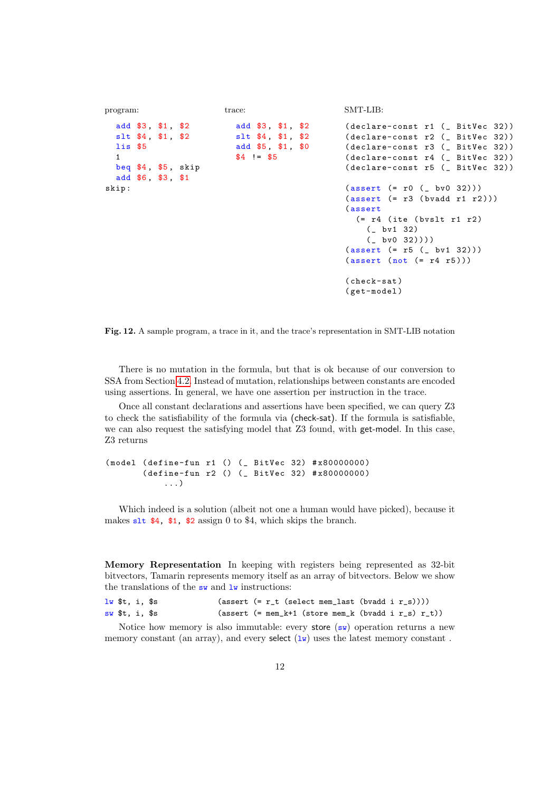```
program:
  add $3 , $1 , $2
  slt $4 , $1 , $2
  lis $5
  1
  beq $4 , $5 , skip
  add $6 , $3 , $1
skip :
                          trace:
                            add $3 , $1 , $2
                            slt $4, $1, $2
                            add $5, $1, $0
                            $4 != $5
                                                     SMT-LIB:
                                                     (declare-const r1 (_ BitVec 32))
                                                     (declare-const r2 (_ BitVec 32))
                                                     (declare-const r3 (_ BitVec 32))
                                                     (declare-const r4 (_ BitVec 32))
                                                     (declare-const r5 (_ BitVec 32))
                                                     (assert (= r0 (- b v 0 32)))(\text{assert } (= r3 \text{ (bvadd } r1 \text{ r2})))( assert
                                                       ( r4 (ite (bvslt r1 r2)
                                                          ( bv1 32)
                                                          ( bv0 32))))
                                                     (assert (= r5 (- b<i>v</i>1 32)))(\text{assert} (\text{not} (= r4 r5)))( check-sat )
                                                     ( get-model )
```
<span id="page-11-0"></span>Fig. 12. A sample program, a trace in it, and the trace's representation in SMT-LIB notation

There is no mutation in the formula, but that is ok because of our conversion to SSA from Section [4.2.](#page-9-1) Instead of mutation, relationships between constants are encoded using assertions. In general, we have one assertion per instruction in the trace.

Once all constant declarations and assertions have been specified, we can query Z3 to check the satisfiability of the formula via (check-sat). If the formula is satisfiable, we can also request the satisfying model that Z3 found, with get-model. In this case, Z3 returns

( model ( define-fun r1 () ( \_ BitVec 32) # x80000000 ) ( define-fun r2 () ( \_ BitVec 32) # x80000000 ) ...)

Which indeed is a solution (albeit not one a human would have picked), because it makes slt \$4, \$1, \$2 assign 0 to \$4, which skips the branch.

Memory Representation In keeping with registers being represented as 32-bit bitvectors, Tamarin represents memory itself as an array of bitvectors. Below we show the translations of the  $\mathsf{sw}$  and  $\mathsf{lw}$  instructions:

```
lw t, i, s (assert (= r_t (select mem_last (bvadd i r_s))))
sw $t, i, $s (assert (= mem_k+1 (store mem_k (bvadd i r_s) r_t))
```
Notice how memory is also immutable: every store  $(\mathbf{sw})$  operation returns a new memory constant (an array), and every select  $(\mathbf{1}\mathbf{w})$  uses the latest memory constant.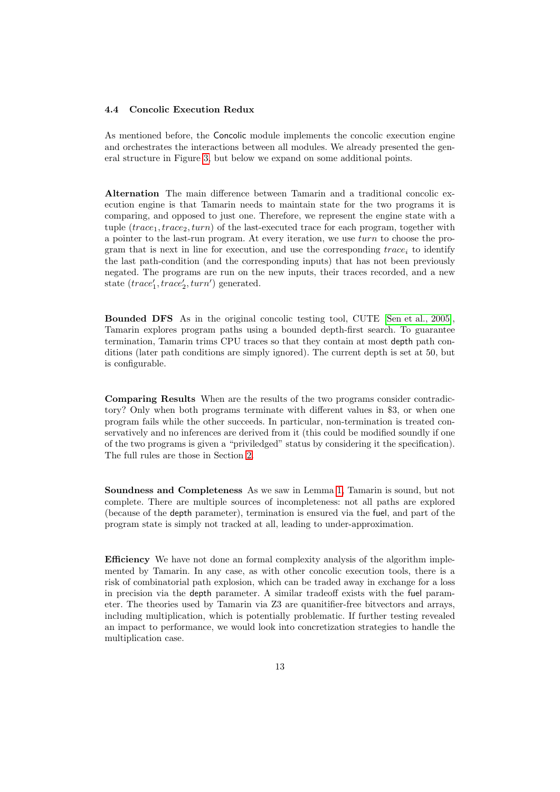#### <span id="page-12-0"></span>4.4 Concolic Execution Redux

As mentioned before, the Concolic module implements the concolic execution engine and orchestrates the interactions between all modules. We already presented the general structure in Figure [3,](#page-3-0) but below we expand on some additional points.

Alternation The main difference between Tamarin and a traditional concolic execution engine is that Tamarin needs to maintain state for the two programs it is comparing, and opposed to just one. Therefore, we represent the engine state with a tuple  $(trace_1, trace_2, turn)$  of the last-executed trace for each program, together with a pointer to the last-run program. At every iteration, we use turn to choose the program that is next in line for execution, and use the corresponding  $trace_i$  to identify the last path-condition (and the corresponding inputs) that has not been previously negated. The programs are run on the new inputs, their traces recorded, and a new state  $(trace'_1, trace'_2, turn')$  generated.

Bounded DFS As in the original concolic testing tool, CUTE [\[Sen et al., 2005\]](#page-16-2), Tamarin explores program paths using a bounded depth-first search. To guarantee termination, Tamarin trims CPU traces so that they contain at most depth path conditions (later path conditions are simply ignored). The current depth is set at 50, but is configurable.

Comparing Results When are the results of the two programs consider contradictory? Only when both programs terminate with different values in \$3, or when one program fails while the other succeeds. In particular, non-termination is treated conservatively and no inferences are derived from it (this could be modified soundly if one of the two programs is given a "priviledged" status by considering it the specification). The full rules are those in Section [2.](#page-1-2)

Soundness and Completeness As we saw in Lemma [1,](#page-2-2) Tamarin is sound, but not complete. There are multiple sources of incompleteness: not all paths are explored (because of the depth parameter), termination is ensured via the fuel, and part of the program state is simply not tracked at all, leading to under-approximation.

Efficiency We have not done an formal complexity analysis of the algorithm implemented by Tamarin. In any case, as with other concolic execution tools, there is a risk of combinatorial path explosion, which can be traded away in exchange for a loss in precision via the depth parameter. A similar tradeoff exists with the fuel parameter. The theories used by Tamarin via Z3 are quanitifier-free bitvectors and arrays, including multiplication, which is potentially problematic. If further testing revealed an impact to performance, we would look into concretization strategies to handle the multiplication case.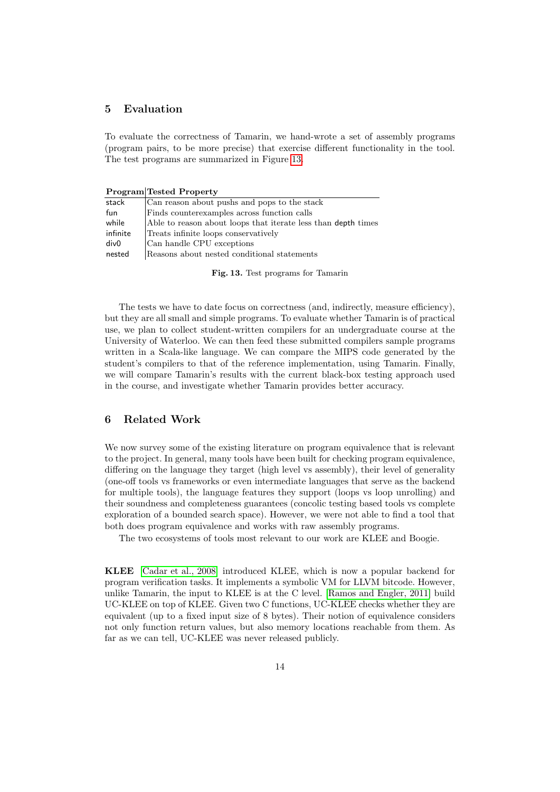## <span id="page-13-1"></span>5 Evaluation

To evaluate the correctness of Tamarin, we hand-wrote a set of assembly programs (program pairs, to be more precise) that exercise different functionality in the tool. The test programs are summarized in Figure [13.](#page-13-0)

Program Tested Property

| stack            | Can reason about pushs and pops to the stack                  |
|------------------|---------------------------------------------------------------|
| fun              | Finds counterexamples across function calls                   |
| while            | Able to reason about loops that iterate less than depth times |
| infinite         | Treats infinite loops conservatively                          |
| div <sub>0</sub> | Can handle CPU exceptions                                     |
| nested           | Reasons about nested conditional statements                   |

<span id="page-13-0"></span>Fig. 13. Test programs for Tamarin

The tests we have to date focus on correctness (and, indirectly, measure efficiency), but they are all small and simple programs. To evaluate whether Tamarin is of practical use, we plan to collect student-written compilers for an undergraduate course at the University of Waterloo. We can then feed these submitted compilers sample programs written in a Scala-like language. We can compare the MIPS code generated by the student's compilers to that of the reference implementation, using Tamarin. Finally, we will compare Tamarin's results with the current black-box testing approach used in the course, and investigate whether Tamarin provides better accuracy.

## 6 Related Work

We now survey some of the existing literature on program equivalence that is relevant to the project. In general, many tools have been built for checking program equivalence, differing on the language they target (high level vs assembly), their level of generality (one-off tools vs frameworks or even intermediate languages that serve as the backend for multiple tools), the language features they support (loops vs loop unrolling) and their soundness and completeness guarantees (concolic testing based tools vs complete exploration of a bounded search space). However, we were not able to find a tool that both does program equivalence and works with raw assembly programs.

The two ecosystems of tools most relevant to our work are KLEE and Boogie.

KLEE [\[Cadar et al., 2008\]](#page-15-5) introduced KLEE, which is now a popular backend for program verification tasks. It implements a symbolic VM for LLVM bitcode. However, unlike Tamarin, the input to KLEE is at the C level. [\[Ramos and Engler, 2011\]](#page-16-3) build UC-KLEE on top of KLEE. Given two C functions, UC-KLEE checks whether they are equivalent (up to a fixed input size of 8 bytes). Their notion of equivalence considers not only function return values, but also memory locations reachable from them. As far as we can tell, UC-KLEE was never released publicly.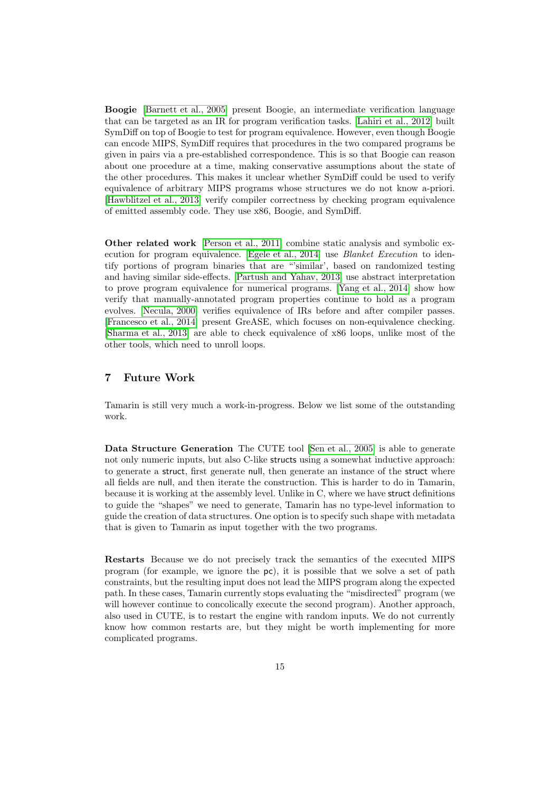Boogie [\[Barnett et al., 2005\]](#page-15-6) present Boogie, an intermediate verification language that can be targeted as an IR for program verification tasks. [\[Lahiri et al., 2012\]](#page-15-7) built SymDiff on top of Boogie to test for program equivalence. However, even though Boogie can encode MIPS, SymDiff requires that procedures in the two compared programs be given in pairs via a pre-established correspondence. This is so that Boogie can reason about one procedure at a time, making conservative assumptions about the state of the other procedures. This makes it unclear whether SymDiff could be used to verify equivalence of arbitrary MIPS programs whose structures we do not know a-priori. [\[Hawblitzel et al., 2013\]](#page-15-8) verify compiler correctness by checking program equivalence of emitted assembly code. They use x86, Boogie, and SymDiff.

Other related work [\[Person et al., 2011\]](#page-16-4) combine static analysis and symbolic execution for program equivalence. [\[Egele et al., 2014\]](#page-15-9) use Blanket Execution to identify portions of program binaries that are "'similar', based on randomized testing and having similar side-effects. [\[Partush and Yahav, 2013\]](#page-16-5) use abstract interpretation to prove program equivalence for numerical programs. [\[Yang et al., 2014\]](#page-16-6) show how verify that manually-annotated program properties continue to hold as a program evolves. [\[Necula, 2000\]](#page-15-10) verifies equivalence of IRs before and after compiler passes. [\[Francesco et al., 2014\]](#page-15-11) present GreASE, which focuses on non-equivalence checking. [\[Sharma et al., 2013\]](#page-16-7) are able to check equivalence of x86 loops, unlike most of the other tools, which need to unroll loops.

## 7 Future Work

Tamarin is still very much a work-in-progress. Below we list some of the outstanding work.

Data Structure Generation The CUTE tool [\[Sen et al., 2005\]](#page-16-2) is able to generate not only numeric inputs, but also C-like structs using a somewhat inductive approach: to generate a struct, first generate null, then generate an instance of the struct where all fields are null, and then iterate the construction. This is harder to do in Tamarin, because it is working at the assembly level. Unlike in C, where we have struct definitions to guide the "shapes" we need to generate, Tamarin has no type-level information to guide the creation of data structures. One option is to specify such shape with metadata that is given to Tamarin as input together with the two programs.

Restarts Because we do not precisely track the semantics of the executed MIPS program (for example, we ignore the pc), it is possible that we solve a set of path constraints, but the resulting input does not lead the MIPS program along the expected path. In these cases, Tamarin currently stops evaluating the "misdirected" program (we will however continue to concolically execute the second program). Another approach, also used in CUTE, is to restart the engine with random inputs. We do not currently know how common restarts are, but they might be worth implementing for more complicated programs.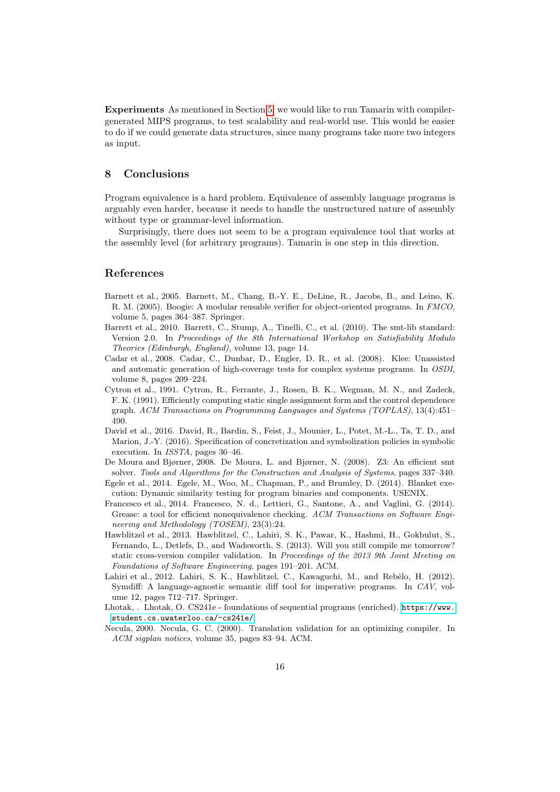Experiments As mentioned in Section [5,](#page-13-1) we would like to run Tamarin with compilergenerated MIPS programs, to test scalability and real-world use. This would be easier to do if we could generate data structures, since many programs take more two integers as input.

### 8 Conclusions

Program equivalence is a hard problem. Equivalence of assembly language programs is arguably even harder, because it needs to handle the unstructured nature of assembly without type or grammar-level information.

Surprisingly, there does not seem to be a program equivalence tool that works at the assembly level (for arbitrary programs). Tamarin is one step in this direction.

### References

- <span id="page-15-6"></span>Barnett et al., 2005. Barnett, M., Chang, B.-Y. E., DeLine, R., Jacobs, B., and Leino, K. R. M. (2005). Boogie: A modular reusable verifier for object-oriented programs. In FMCO, volume 5, pages 364–387. Springer.
- <span id="page-15-4"></span>Barrett et al., 2010. Barrett, C., Stump, A., Tinelli, C., et al. (2010). The smt-lib standard: Version 2.0. In Proceedings of the 8th International Workshop on Satisfiability Modulo Theories (Edinburgh, England), volume 13, page 14.
- <span id="page-15-5"></span>Cadar et al., 2008. Cadar, C., Dunbar, D., Engler, D. R., et al. (2008). Klee: Unassisted and automatic generation of high-coverage tests for complex systems programs. In OSDI, volume 8, pages 209–224.
- <span id="page-15-3"></span>Cytron et al., 1991. Cytron, R., Ferrante, J., Rosen, B. K., Wegman, M. N., and Zadeck, F. K. (1991). Efficiently computing static single assignment form and the control dependence graph. ACM Transactions on Programming Languages and Systems (TOPLAS), 13(4):451– 490.
- <span id="page-15-2"></span>David et al., 2016. David, R., Bardin, S., Feist, J., Mounier, L., Potet, M.-L., Ta, T. D., and Marion, J.-Y. (2016). Specification of concretization and symbolization policies in symbolic execution. In ISSTA, pages 36–46.
- <span id="page-15-0"></span>De Moura and Bjørner, 2008. De Moura, L. and Bjørner, N. (2008). Z3: An efficient smt solver. Tools and Algorithms for the Construction and Analysis of Systems, pages 337–340.
- <span id="page-15-9"></span>Egele et al., 2014. Egele, M., Woo, M., Chapman, P., and Brumley, D. (2014). Blanket execution: Dynamic similarity testing for program binaries and components. USENIX.
- <span id="page-15-11"></span>Francesco et al., 2014. Francesco, N. d., Lettieri, G., Santone, A., and Vaglini, G. (2014). Grease: a tool for efficient nonequivalence checking. ACM Transactions on Software Engineering and Methodology (TOSEM), 23(3):24.
- <span id="page-15-8"></span>Hawblitzel et al., 2013. Hawblitzel, C., Lahiri, S. K., Pawar, K., Hashmi, H., Gokbulut, S., Fernando, L., Detlefs, D., and Wadsworth, S. (2013). Will you still compile me tomorrow? static cross-version compiler validation. In Proceedings of the 2013 9th Joint Meeting on Foundations of Software Engineering, pages 191–201. ACM.
- <span id="page-15-7"></span>Lahiri et al., 2012. Lahiri, S. K., Hawblitzel, C., Kawaguchi, M., and Rebêlo, H. (2012). Symdiff: A language-agnostic semantic diff tool for imperative programs. In CAV, volume 12, pages 712–717. Springer.
- <span id="page-15-1"></span>Lhotak, . Lhotak, O. CS241e - foundations of sequential programs (enriched). [https://www.](https://www.student.cs.uwaterloo.ca/~cs241e/) [student.cs.uwaterloo.ca/~cs241e/](https://www.student.cs.uwaterloo.ca/~cs241e/).
- <span id="page-15-10"></span>Necula, 2000. Necula, G. C. (2000). Translation validation for an optimizing compiler. In ACM sigplan notices, volume 35, pages 83–94. ACM.